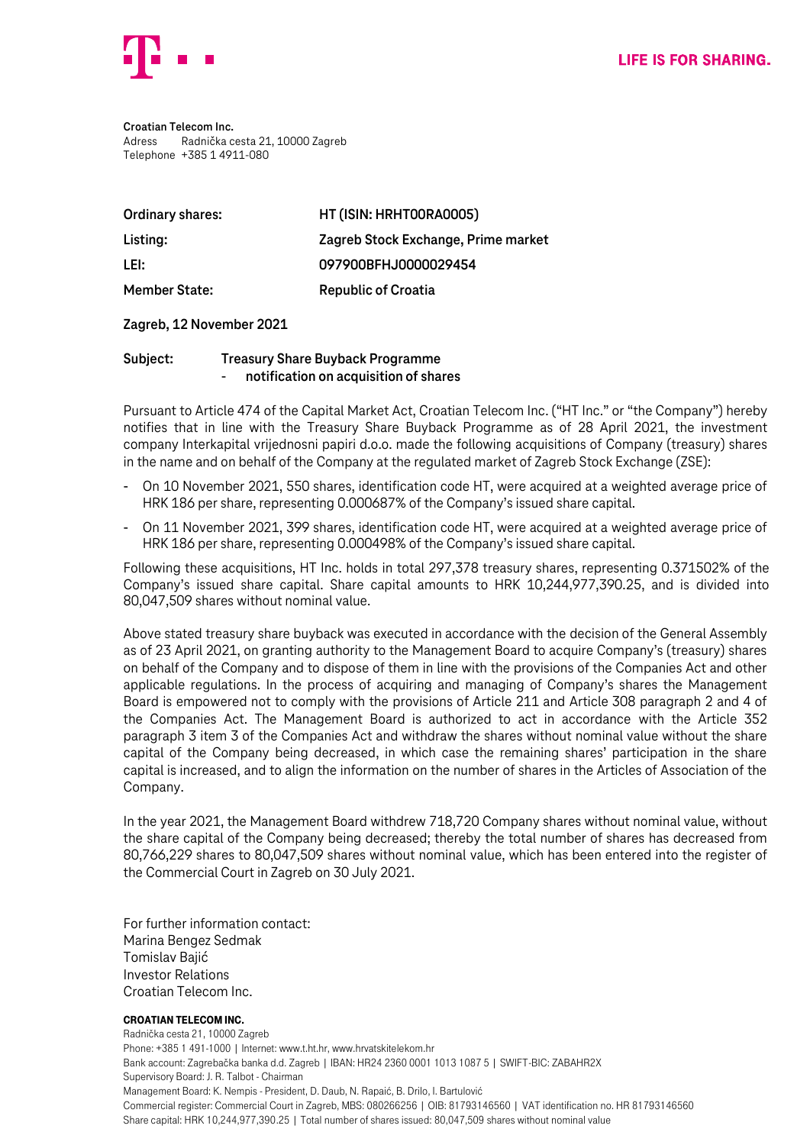

**Croatian Telecom Inc.** Adress Radnička cesta 21, 10000 Zagreb Telephone +385 1 4911-080

| Ordinary shares:     | HT (ISIN: HRHT00RA0005)             |
|----------------------|-------------------------------------|
| Listing:             | Zagreb Stock Exchange, Prime market |
| LEI:                 | 097900BFHJ0000029454                |
| <b>Member State:</b> | <b>Republic of Croatia</b>          |

## **Zagreb, 12 November 2021**

## **Subject: Treasury Share Buyback Programme** - **notification on acquisition of shares**

Pursuant to Article 474 of the Capital Market Act, Croatian Telecom Inc. ("HT Inc." or "the Company") hereby notifies that in line with the Treasury Share Buyback Programme as of 28 April 2021, the investment company Interkapital vrijednosni papiri d.o.o. made the following acquisitions of Company (treasury) shares in the name and on behalf of the Company at the regulated market of Zagreb Stock Exchange (ZSE):

- On 10 November 2021, 550 shares, identification code HT, were acquired at a weighted average price of HRK 186 per share, representing 0.000687% of the Company's issued share capital.
- On 11 November 2021, 399 shares, identification code HT, were acquired at a weighted average price of HRK 186 per share, representing 0.000498% of the Company's issued share capital.

Following these acquisitions, HT Inc. holds in total 297,378 treasury shares, representing 0.371502% of the Company's issued share capital. Share capital amounts to HRK 10,244,977,390.25, and is divided into 80,047,509 shares without nominal value.

Above stated treasury share buyback was executed in accordance with the decision of the General Assembly as of 23 April 2021, on granting authority to the Management Board to acquire Company's (treasury) shares on behalf of the Company and to dispose of them in line with the provisions of the Companies Act and other applicable regulations. In the process of acquiring and managing of Company's shares the Management Board is empowered not to comply with the provisions of Article 211 and Article 308 paragraph 2 and 4 of the Companies Act. The Management Board is authorized to act in accordance with the Article 352 paragraph 3 item 3 of the Companies Act and withdraw the shares without nominal value without the share capital of the Company being decreased, in which case the remaining shares' participation in the share capital is increased, and to align the information on the number of shares in the Articles of Association of the Company.

In the year 2021, the Management Board withdrew 718,720 Company shares without nominal value, without the share capital of the Company being decreased; thereby the total number of shares has decreased from 80,766,229 shares to 80,047,509 shares without nominal value, which has been entered into the register of the Commercial Court in Zagreb on 30 July 2021.

For further information contact: Marina Bengez Sedmak Tomislav Bajić Investor Relations Croatian Telecom Inc.

## Croatian Telecom Inc.

Radnička cesta 21, 10000 Zagreb Phone: +385 1 491-1000 | Internet: www.t.ht.hr, www.hrvatskitelekom.hr Bank account: Zagrebačka banka d.d. Zagreb | IBAN: HR24 2360 0001 1013 1087 5 | SWIFT-BIC: ZABAHR2X Supervisory Board: J. R. Talbot - Chairman Management Board: K. Nempis - President, D. Daub, N. Rapaić, B. Drilo, I. Bartulović Commercial register: Commercial Court in Zagreb, MBS: 080266256 | OIB: 81793146560 | VAT identification no. HR 81793146560 Share capital: HRK 10,244,977,390.25 | Total number of shares issued: 80,047,509 shares without nominal value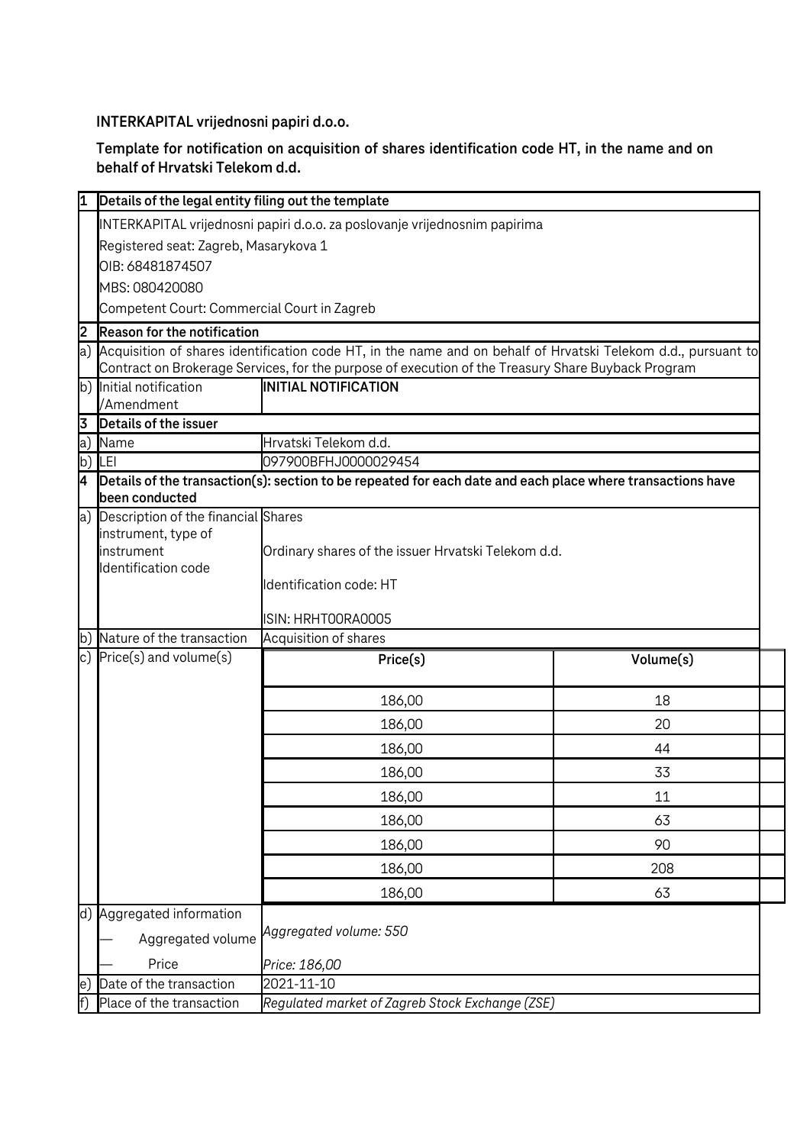**INTERKAPITAL vrijednosni papiri d.o.o.**

**Template for notification on acquisition of shares identification code HT, in the name and on behalf of Hrvatski Telekom d.d.**

|                                        | Details of the legal entity filing out the template                                                        |                                                                                                               |                       |  |  |
|----------------------------------------|------------------------------------------------------------------------------------------------------------|---------------------------------------------------------------------------------------------------------------|-----------------------|--|--|
|                                        | INTERKAPITAL vrijednosni papiri d.o.o. za poslovanje vrijednosnim papirima                                 |                                                                                                               |                       |  |  |
|                                        | Registered seat: Zagreb, Masarykova 1                                                                      |                                                                                                               |                       |  |  |
|                                        | OIB: 68481874507                                                                                           |                                                                                                               |                       |  |  |
|                                        | MBS: 080420080                                                                                             |                                                                                                               |                       |  |  |
|                                        | Competent Court: Commercial Court in Zagreb                                                                |                                                                                                               |                       |  |  |
| 2                                      | Reason for the notification                                                                                |                                                                                                               |                       |  |  |
| a)                                     |                                                                                                            | Acquisition of shares identification code HT, in the name and on behalf of Hrvatski Telekom d.d., pursuant to |                       |  |  |
|                                        |                                                                                                            | Contract on Brokerage Services, for the purpose of execution of the Treasury Share Buyback Program            |                       |  |  |
|                                        | b) Initial notification                                                                                    | <b>INITIAL NOTIFICATION</b>                                                                                   |                       |  |  |
| 3                                      | /Amendment<br>Details of the issuer                                                                        |                                                                                                               |                       |  |  |
| a)                                     | Name                                                                                                       |                                                                                                               |                       |  |  |
| b)                                     | LEI                                                                                                        | 097900BFHJ0000029454                                                                                          | Hrvatski Telekom d.d. |  |  |
| 4                                      | Details of the transaction(s): section to be repeated for each date and each place where transactions have |                                                                                                               |                       |  |  |
|                                        | been conducted                                                                                             |                                                                                                               |                       |  |  |
| a) Description of the financial Shares |                                                                                                            |                                                                                                               |                       |  |  |
|                                        | instrument, type of                                                                                        |                                                                                                               |                       |  |  |
|                                        | instrument<br>Ordinary shares of the issuer Hrvatski Telekom d.d.                                          |                                                                                                               |                       |  |  |
|                                        | Identification code                                                                                        | Identification code: HT                                                                                       |                       |  |  |
|                                        |                                                                                                            |                                                                                                               |                       |  |  |
|                                        |                                                                                                            | ISIN: HRHTOORAOOO5                                                                                            |                       |  |  |
| lb)                                    | Nature of the transaction                                                                                  | Acquisition of shares                                                                                         |                       |  |  |
|                                        | c) $Price(s)$ and volume $(s)$                                                                             | Price(s)                                                                                                      | Volume(s)             |  |  |
|                                        |                                                                                                            |                                                                                                               |                       |  |  |
|                                        |                                                                                                            | 186,00                                                                                                        | 18                    |  |  |
|                                        |                                                                                                            | 186,00                                                                                                        | 20                    |  |  |
|                                        |                                                                                                            | 186,00                                                                                                        | 44                    |  |  |
|                                        |                                                                                                            | 186,00                                                                                                        | 33                    |  |  |
|                                        |                                                                                                            |                                                                                                               |                       |  |  |
|                                        |                                                                                                            | 186,00                                                                                                        | 11<br>63              |  |  |
|                                        |                                                                                                            | 186,00                                                                                                        | 90                    |  |  |
|                                        |                                                                                                            | 186,00                                                                                                        |                       |  |  |
|                                        |                                                                                                            | 186,00                                                                                                        | 208                   |  |  |
|                                        |                                                                                                            | 186,00                                                                                                        | 63                    |  |  |
|                                        | d) Aggregated information<br>Aggregated volume                                                             | Aggregated volume: 550                                                                                        |                       |  |  |
|                                        | Price                                                                                                      | Price: 186,00                                                                                                 |                       |  |  |
| le J                                   | Date of the transaction                                                                                    | 2021-11-10                                                                                                    |                       |  |  |